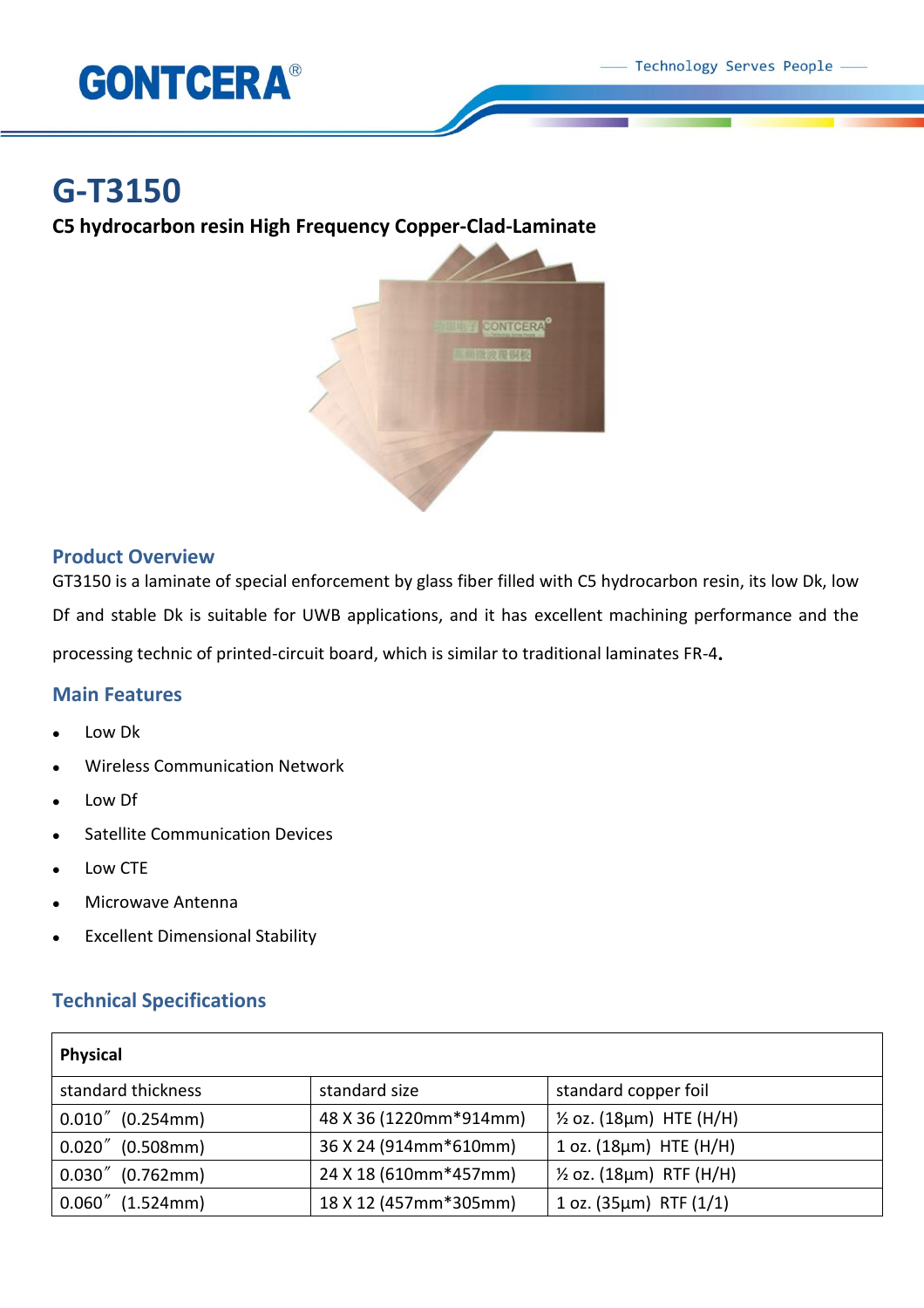

# **G-T3150**

**C5 hydrocarbon resin High Frequency Copper-Clad-Laminate**



## **Product Overview**

GT3150 is a laminate of special enforcement by glass fiber filled with C5 hydrocarbon resin, its low Dk, low Df and stable Dk is suitable for UWB applications, and it has excellent machining performance and the processing technic of printed-circuit board, which is similar to traditional laminates FR-4.

### **Main Features**

- Low Dk
- Wireless Communication Network
- Low Df
- Satellite Communication Devices
- Low CTE
- Microwave Antenna
- Excellent Dimensional Stability

# **Technical Specifications**

| <b>Physical</b>     |                        |                                     |
|---------------------|------------------------|-------------------------------------|
| standard thickness  | standard size          | standard copper foil                |
| $0.010''$ (0.254mm) | 48 X 36 (1220mm*914mm) | $\frac{1}{2}$ oz. (18µm) HTE (H/H)  |
| $0.020''$ (0.508mm) | 36 X 24 (914mm*610mm)  | $1$ oz. ( $18\mu m$ ) HTE ( $H/H$ ) |
| $0.030''$ (0.762mm) | 24 X 18 (610mm*457mm)  | $\frac{1}{2}$ oz. (18µm) RTF (H/H)  |
| $0.060''$ (1.524mm) | 18 X 12 (457mm*305mm)  | 1 oz. $(35 \mu m)$ RTF $(1/1)$      |